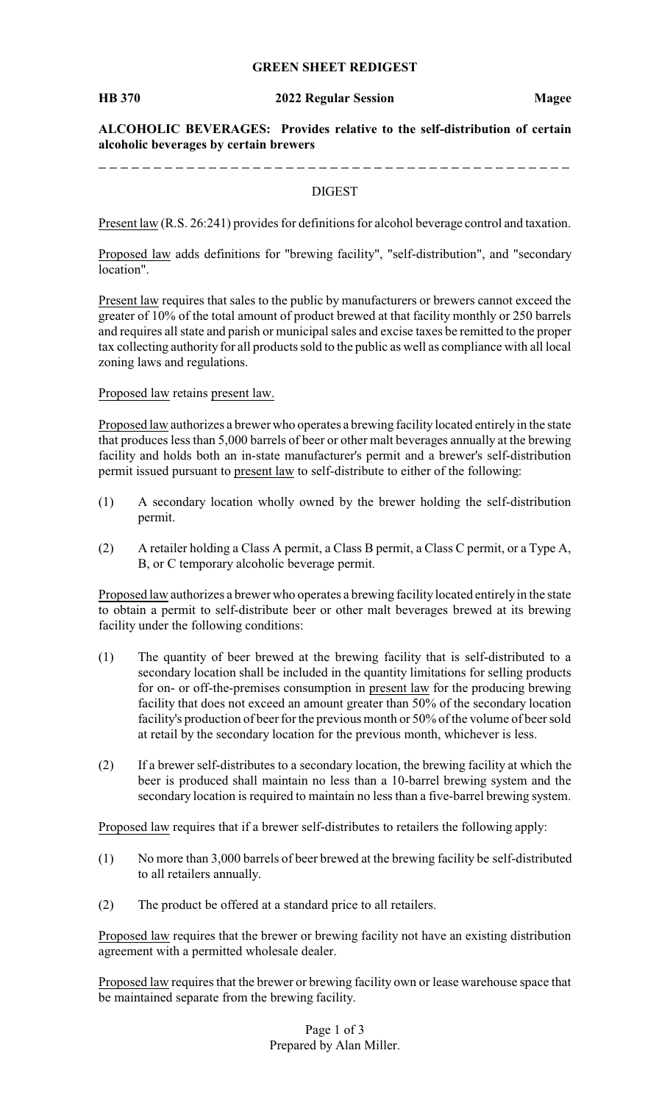## **GREEN SHEET REDIGEST**

### **HB 370 2022 Regular Session Magee**

**ALCOHOLIC BEVERAGES: Provides relative to the self-distribution of certain alcoholic beverages by certain brewers**

# DIGEST

Present law (R.S. 26:241) provides for definitions for alcohol beverage control and taxation.

Proposed law adds definitions for "brewing facility", "self-distribution", and "secondary location".

Present law requires that sales to the public by manufacturers or brewers cannot exceed the greater of 10% of the total amount of product brewed at that facility monthly or 250 barrels and requires all state and parish or municipal sales and excise taxes be remitted to the proper tax collecting authority for all products sold to the public as well as compliance with all local zoning laws and regulations.

## Proposed law retains present law.

\_ \_ \_ \_ \_ \_ \_ \_ \_ \_ \_

Proposed law authorizes a brewer who operates a brewing facility located entirely in the state that produces less than 5,000 barrels of beer or other malt beverages annually at the brewing facility and holds both an in-state manufacturer's permit and a brewer's self-distribution permit issued pursuant to present law to self-distribute to either of the following:

- (1) A secondary location wholly owned by the brewer holding the self-distribution permit.
- (2) A retailer holding a Class A permit, a Class B permit, a Class C permit, or a Type A, B, or C temporary alcoholic beverage permit.

Proposed law authorizes a brewer who operates a brewing facility located entirely in the state to obtain a permit to self-distribute beer or other malt beverages brewed at its brewing facility under the following conditions:

- (1) The quantity of beer brewed at the brewing facility that is self-distributed to a secondary location shall be included in the quantity limitations for selling products for on- or off-the-premises consumption in present law for the producing brewing facility that does not exceed an amount greater than 50% of the secondary location facility's production of beer for the previous month or 50% of the volume of beer sold at retail by the secondary location for the previous month, whichever is less.
- (2) If a brewer self-distributes to a secondary location, the brewing facility at which the beer is produced shall maintain no less than a 10-barrel brewing system and the secondary location is required to maintain no less than a five-barrel brewing system.

Proposed law requires that if a brewer self-distributes to retailers the following apply:

- (1) No more than 3,000 barrels of beer brewed at the brewing facility be self-distributed to all retailers annually.
- (2) The product be offered at a standard price to all retailers.

Proposed law requires that the brewer or brewing facility not have an existing distribution agreement with a permitted wholesale dealer.

Proposed law requires that the brewer or brewing facility own or lease warehouse space that be maintained separate from the brewing facility.

> Page 1 of 3 Prepared by Alan Miller.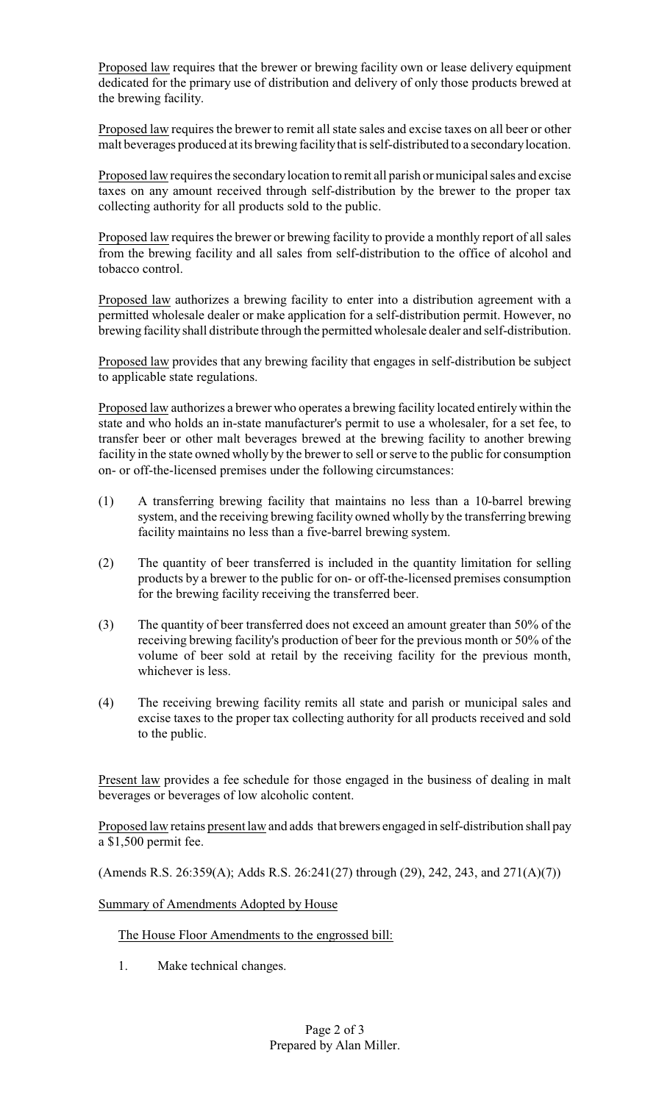Proposed law requires that the brewer or brewing facility own or lease delivery equipment dedicated for the primary use of distribution and delivery of only those products brewed at the brewing facility.

Proposed law requires the brewer to remit all state sales and excise taxes on all beer or other malt beverages produced at its brewing facilitythat is self-distributed to a secondarylocation.

Proposed law requires the secondarylocation to remit all parish or municipal sales and excise taxes on any amount received through self-distribution by the brewer to the proper tax collecting authority for all products sold to the public.

Proposed law requires the brewer or brewing facility to provide a monthly report of all sales from the brewing facility and all sales from self-distribution to the office of alcohol and tobacco control.

Proposed law authorizes a brewing facility to enter into a distribution agreement with a permitted wholesale dealer or make application for a self-distribution permit. However, no brewing facility shall distribute through the permitted wholesale dealer and self-distribution.

Proposed law provides that any brewing facility that engages in self-distribution be subject to applicable state regulations.

Proposed law authorizes a brewer who operates a brewing facility located entirely within the state and who holds an in-state manufacturer's permit to use a wholesaler, for a set fee, to transfer beer or other malt beverages brewed at the brewing facility to another brewing facility in the state owned wholly by the brewer to sell or serve to the public for consumption on- or off-the-licensed premises under the following circumstances:

- (1) A transferring brewing facility that maintains no less than a 10-barrel brewing system, and the receiving brewing facility owned wholly by the transferring brewing facility maintains no less than a five-barrel brewing system.
- (2) The quantity of beer transferred is included in the quantity limitation for selling products by a brewer to the public for on- or off-the-licensed premises consumption for the brewing facility receiving the transferred beer.
- (3) The quantity of beer transferred does not exceed an amount greater than 50% of the receiving brewing facility's production of beer for the previous month or 50% of the volume of beer sold at retail by the receiving facility for the previous month, whichever is less.
- (4) The receiving brewing facility remits all state and parish or municipal sales and excise taxes to the proper tax collecting authority for all products received and sold to the public.

Present law provides a fee schedule for those engaged in the business of dealing in malt beverages or beverages of low alcoholic content.

Proposed law retains present law and adds that brewers engaged in self-distribution shall pay a \$1,500 permit fee.

(Amends R.S. 26:359(A); Adds R.S. 26:241(27) through (29), 242, 243, and 271(A)(7))

Summary of Amendments Adopted by House

The House Floor Amendments to the engrossed bill:

1. Make technical changes.